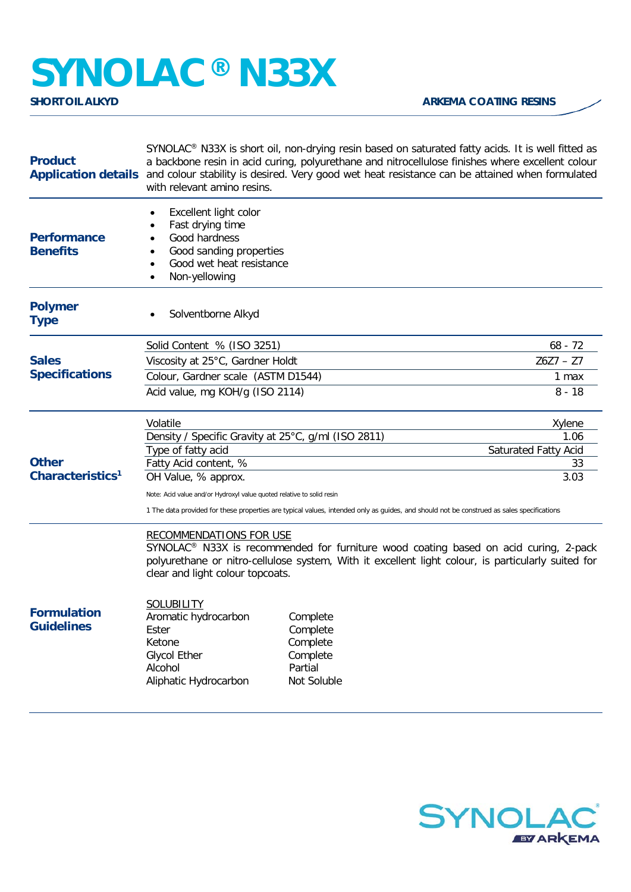## **SYNOLAC®** N33X

| <b>Product</b>                          | SYNOLAC <sup>®</sup> N33X is short oil, non-drying resin based on saturated fatty acids. It is well fitted as<br>a backbone resin in acid curing, polyurethane and nitrocellulose finishes where excellent colour<br>Application details and colour stability is desired. Very good wet heat resistance can be attained when formulated<br>with relevant amino resins. |                                                                        |                                   |
|-----------------------------------------|------------------------------------------------------------------------------------------------------------------------------------------------------------------------------------------------------------------------------------------------------------------------------------------------------------------------------------------------------------------------|------------------------------------------------------------------------|-----------------------------------|
| <b>Performance</b><br><b>Benefits</b>   | Excellent light color<br>٠<br>Fast drying time<br>٠<br>Good hardness<br>$\bullet$<br>Good sanding properties<br>Good wet heat resistance<br>$\bullet$<br>Non-yellowing<br>$\bullet$                                                                                                                                                                                    |                                                                        |                                   |
| <b>Polymer</b><br><b>Type</b>           | Solventborne Alkyd                                                                                                                                                                                                                                                                                                                                                     |                                                                        |                                   |
|                                         | Solid Content % (ISO 3251)                                                                                                                                                                                                                                                                                                                                             |                                                                        | $68 - 72$                         |
| <b>Sales</b>                            | Viscosity at 25°C, Gardner Holdt                                                                                                                                                                                                                                                                                                                                       |                                                                        | $Z6Z7 - Z7$                       |
| <b>Specifications</b>                   | Colour, Gardner scale (ASTM D1544)                                                                                                                                                                                                                                                                                                                                     |                                                                        | 1 max                             |
|                                         | Acid value, mg KOH/g (ISO 2114)                                                                                                                                                                                                                                                                                                                                        |                                                                        | $8 - 18$                          |
|                                         | Volatile                                                                                                                                                                                                                                                                                                                                                               |                                                                        | Xylene                            |
|                                         | Density / Specific Gravity at 25°C, g/ml (ISO 2811)<br>1.06                                                                                                                                                                                                                                                                                                            |                                                                        |                                   |
| <b>Other</b>                            | Type of fatty acid<br>Fatty Acid content, %                                                                                                                                                                                                                                                                                                                            |                                                                        | <b>Saturated Fatty Acid</b><br>33 |
| Characteristics <sup>1</sup>            | OH Value, % approx.                                                                                                                                                                                                                                                                                                                                                    |                                                                        | 3.03                              |
|                                         | Note: Acid value and/or Hydroxyl value quoted relative to solid resin                                                                                                                                                                                                                                                                                                  |                                                                        |                                   |
|                                         | 1 The data provided for these properties are typical values, intended only as guides, and should not be construed as sales specifications                                                                                                                                                                                                                              |                                                                        |                                   |
|                                         | <b>RECOMMENDATIONS FOR USE</b><br>SYNOLAC <sup>®</sup> N33X is recommended for furniture wood coating based on acid curing, 2-pack<br>polyurethane or nitro-cellulose system, With it excellent light colour, is particularly suited for<br>clear and light colour topcoats.                                                                                           |                                                                        |                                   |
| <b>Formulation</b><br><b>Guidelines</b> | <b>SOLUBILITY</b><br>Aromatic hydrocarbon<br>Ester<br>Ketone<br><b>Glycol Ether</b><br>Alcohol<br>Aliphatic Hydrocarbon                                                                                                                                                                                                                                                | Complete<br>Complete<br>Complete<br>Complete<br>Partial<br>Not Soluble |                                   |